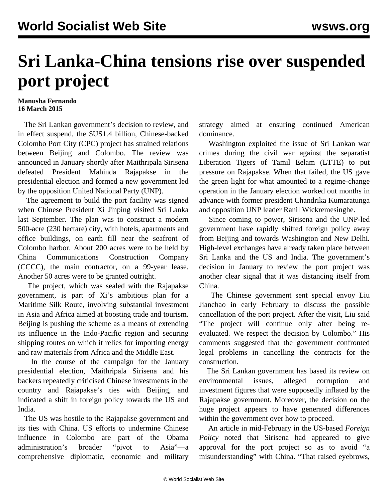## **Sri Lanka-China tensions rise over suspended port project**

## **Manusha Fernando 16 March 2015**

 The Sri Lankan government's decision to review, and in effect suspend, the \$US1.4 billion, Chinese-backed Colombo Port City (CPC) project has strained relations between Beijing and Colombo. The review was announced in January shortly after Maithripala Sirisena defeated President Mahinda Rajapakse in the presidential election and formed a new government led by the opposition United National Party (UNP).

 The agreement to build the port facility was signed when Chinese President Xi Jinping visited Sri Lanka last September. The plan was to construct a modern 500-acre (230 hectare) city, with hotels, apartments and office buildings, on earth fill near the seafront of Colombo harbor. About 200 acres were to be held by China Communications Construction Company (CCCC), the main contractor, on a 99-year lease. Another 50 acres were to be granted outright.

 The project, which was sealed with the Rajapakse government, is part of Xi's ambitious plan for a Maritime Silk Route, involving substantial investment in Asia and Africa aimed at boosting trade and tourism. Beijing is pushing the scheme as a means of extending its influence in the Indo-Pacific region and securing shipping routes on which it relies for importing energy and raw materials from Africa and the Middle East.

 In the course of the campaign for the January presidential election, Maithripala Sirisena and his backers repeatedly criticised Chinese investments in the country and Rajapakse's ties with Beijing, and indicated a shift in foreign policy towards the US and India.

 The US was hostile to the Rajapakse government and its ties with China. US efforts to undermine Chinese influence in Colombo are part of the Obama administration's broader "pivot to Asia"—a comprehensive diplomatic, economic and military strategy aimed at ensuring continued American dominance.

 Washington exploited the issue of Sri Lankan war crimes during the civil war against the separatist Liberation Tigers of Tamil Eelam (LTTE) to put pressure on Rajapakse. When that failed, the US gave the green light for what amounted to a regime-change operation in the January election worked out months in advance with former president Chandrika Kumaratunga and opposition UNP leader Ranil Wickremesinghe.

 Since coming to power, Sirisena and the UNP-led government have rapidly shifted foreign policy away from Beijing and towards Washington and New Delhi. High-level exchanges have already taken place between Sri Lanka and the US and India. The government's decision in January to review the port project was another clear signal that it was distancing itself from China.

 The Chinese government sent special envoy Liu Jianchao in early February to discuss the possible cancellation of the port project. After the visit, Liu said "The project will continue only after being reevaluated. We respect the decision by Colombo." His comments suggested that the government confronted legal problems in cancelling the contracts for the construction.

 The Sri Lankan government has based its review on environmental issues, alleged corruption and investment figures that were supposedly inflated by the Rajapakse government. Moreover, the decision on the huge project appears to have generated differences within the government over how to proceed.

 An article in mid-February in the US-based *Foreign Policy* noted that Sirisena had appeared to give approval for the port project so as to avoid "a misunderstanding" with China. "That raised eyebrows,